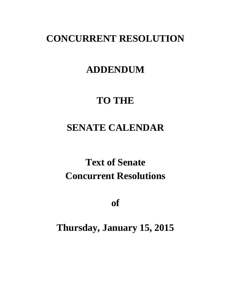## **CONCURRENT RESOLUTION**

### **ADDENDUM**

## **TO THE**

## **SENATE CALENDAR**

# **Text of Senate Concurrent Resolutions**

**of**

**Thursday, January 15, 2015**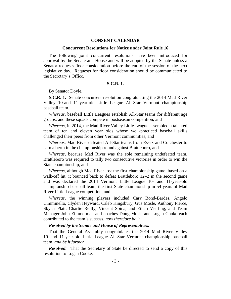#### **CONSENT CALENDAR**

#### **Concurrent Resolutions for Notice under Joint Rule 16**

The following joint concurrent resolutions have been introduced for approval by the Senate and House and will be adopted by the Senate unless a Senator requests floor consideration before the end of the session of the next legislative day. Requests for floor consideration should be communicated to the Secretary's Office.

#### **S.C.R. 1.**

By Senator Doyle,

**S.C.R. 1.** Senate concurrent resolution congratulating the 2014 Mad River Valley 10-and 11-year-old Little League All-Star Vermont championship baseball team.

*Whereas*, baseball Little Leagues establish All-Star teams for different age groups, and these squads compete in postseason competition, and

*Whereas*, in 2014, the Mad River Valley Little League assembled a talented team of ten and eleven year olds whose well-practiced baseball skills challenged their peers from other Vermont communities, and

*Whereas*, Mad River defeated All-Star teams from Essex and Colchester to earn a berth in the championship round against Brattleboro, and

*Whereas*, because Mad River was the sole remaining undefeated team, Brattleboro was required to tally two consecutive victories in order to win the State championship, and

*Whereas*, although Mad River lost the first championship game, based on a walk-off hit, it bounced back to defeat Brattleboro 12–2 in the second game and was declared the 2014 Vermont Little League 10- and 11-year-old championship baseball team, the first State championship in 54 years of Mad River Little League competition, and

*Whereas*, the winning players included Cary Bond-Bardes, Angelo Cimminello, Clyden Heyward, Caleb Kingsbury, Gus Mosle, Anthony Pierce, Skylar Platt, Charlie Reilly, Vincent Spina, and Ethan Vierling, and Team Manager John Zimmerman and coaches Doug Mosle and Logan Cooke each contributed to the team's success, *now therefore be it* 

#### *Resolved by the Senate and House of Representatives:*

That the General Assembly congratulates the 2014 Mad River Valley 10- and 11-year-old Little League All-Star Vermont championship baseball team, *and be it further*

*Resolved:* That the Secretary of State be directed to send a copy of this resolution to Logan Cooke.